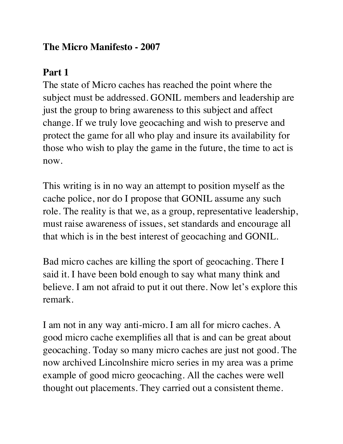### **The Micro Manifesto - 2007**

# **Part 1**

The state of Micro caches has reached the point where the subject must be addressed. GONIL members and leadership are just the group to bring awareness to this subject and affect change. If we truly love geocaching and wish to preserve and protect the game for all who play and insure its availability for those who wish to play the game in the future, the time to act is now.

This writing is in no way an attempt to position myself as the cache police, nor do I propose that GONIL assume any such role. The reality is that we, as a group, representative leadership, must raise awareness of issues, set standards and encourage all that which is in the best interest of geocaching and GONIL.

Bad micro caches are killing the sport of geocaching. There I said it. I have been bold enough to say what many think and believe. I am not afraid to put it out there. Now let's explore this remark.

I am not in any way anti-micro. I am all for micro caches. A good micro cache exemplifies all that is and can be great about geocaching. Today so many micro caches are just not good. The now archived Lincolnshire micro series in my area was a prime example of good micro geocaching. All the caches were well thought out placements. They carried out a consistent theme.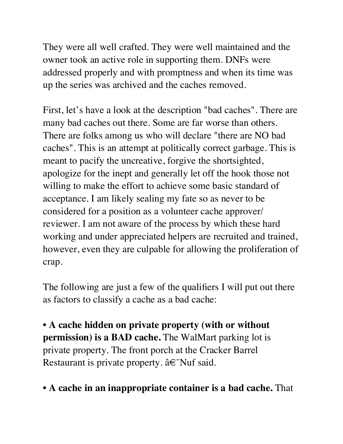They were all well crafted. They were well maintained and the owner took an active role in supporting them. DNFs were addressed properly and with promptness and when its time was up the series was archived and the caches removed.

First, let's have a look at the description "bad caches". There are many bad caches out there. Some are far worse than others. There are folks among us who will declare "there are NO bad caches". This is an attempt at politically correct garbage. This is meant to pacify the uncreative, forgive the shortsighted, apologize for the inept and generally let off the hook those not willing to make the effort to achieve some basic standard of acceptance. I am likely sealing my fate so as never to be considered for a position as a volunteer cache approver/ reviewer. I am not aware of the process by which these hard working and under appreciated helpers are recruited and trained, however, even they are culpable for allowing the proliferation of crap.

The following are just a few of the qualifiers I will put out there as factors to classify a cache as a bad cache:

• **A cache hidden on private property (with or without permission) is a BAD cache.** The WalMart parking lot is private property. The front porch at the Cracker Barrel Restaurant is private property. â€˜Nuf said.

### • **A cache in an inappropriate container is a bad cache.** That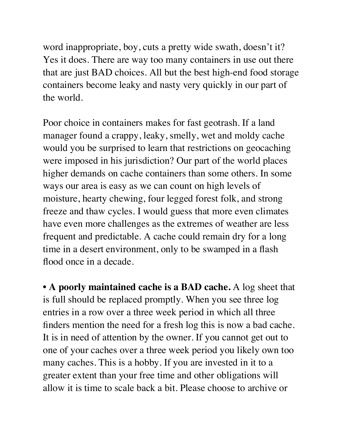word inappropriate, boy, cuts a pretty wide swath, doesn't it? Yes it does. There are way too many containers in use out there that are just BAD choices. All but the best high-end food storage containers become leaky and nasty very quickly in our part of the world.

Poor choice in containers makes for fast geotrash. If a land manager found a crappy, leaky, smelly, wet and moldy cache would you be surprised to learn that restrictions on geocaching were imposed in his jurisdiction? Our part of the world places higher demands on cache containers than some others. In some ways our area is easy as we can count on high levels of moisture, hearty chewing, four legged forest folk, and strong freeze and thaw cycles. I would guess that more even climates have even more challenges as the extremes of weather are less frequent and predictable. A cache could remain dry for a long time in a desert environment, only to be swamped in a flash flood once in a decade.

• **A poorly maintained cache is a BAD cache.** A log sheet that is full should be replaced promptly. When you see three log entries in a row over a three week period in which all three finders mention the need for a fresh log this is now a bad cache. It is in need of attention by the owner. If you cannot get out to one of your caches over a three week period you likely own too many caches. This is a hobby. If you are invested in it to a greater extent than your free time and other obligations will allow it is time to scale back a bit. Please choose to archive or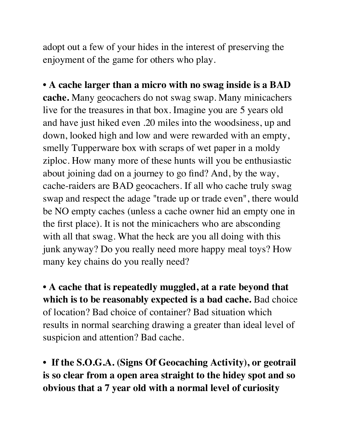adopt out a few of your hides in the interest of preserving the enjoyment of the game for others who play.

• **A cache larger than a micro with no swag inside is a BAD cache.** Many geocachers do not swag swap. Many minicachers live for the treasures in that box. Imagine you are 5 years old and have just hiked even .20 miles into the woodsiness, up and down, looked high and low and were rewarded with an empty, smelly Tupperware box with scraps of wet paper in a moldy ziploc. How many more of these hunts will you be enthusiastic about joining dad on a journey to go find? And, by the way, cache-raiders are BAD geocachers. If all who cache truly swag swap and respect the adage "trade up or trade even", there would be NO empty caches (unless a cache owner hid an empty one in the first place). It is not the minicachers who are absconding with all that swag. What the heck are you all doing with this junk anyway? Do you really need more happy meal toys? How many key chains do you really need?

• **A cache that is repeatedly muggled, at a rate beyond that which is to be reasonably expected is a bad cache.** Bad choice of location? Bad choice of container? Bad situation which results in normal searching drawing a greater than ideal level of suspicion and attention? Bad cache.

• **If the S.O.G.A. (Signs Of Geocaching Activity), or geotrail is so clear from a open area straight to the hidey spot and so obvious that a 7 year old with a normal level of curiosity**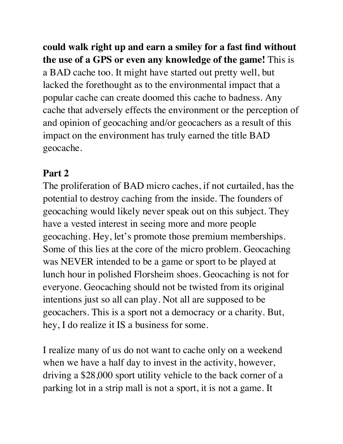**could walk right up and earn a smiley for a fast find without the use of a GPS or even any knowledge of the game!** This is a BAD cache too. It might have started out pretty well, but lacked the forethought as to the environmental impact that a popular cache can create doomed this cache to badness. Any cache that adversely effects the environment or the perception of and opinion of geocaching and/or geocachers as a result of this impact on the environment has truly earned the title BAD geocache.

## **Part 2**

The proliferation of BAD micro caches, if not curtailed, has the potential to destroy caching from the inside. The founders of geocaching would likely never speak out on this subject. They have a vested interest in seeing more and more people geocaching. Hey, let's promote those premium memberships. Some of this lies at the core of the micro problem. Geocaching was NEVER intended to be a game or sport to be played at lunch hour in polished Florsheim shoes. Geocaching is not for everyone. Geocaching should not be twisted from its original intentions just so all can play. Not all are supposed to be geocachers. This is a sport not a democracy or a charity. But, hey, I do realize it IS a business for some.

I realize many of us do not want to cache only on a weekend when we have a half day to invest in the activity, however, driving a \$28,000 sport utility vehicle to the back corner of a parking lot in a strip mall is not a sport, it is not a game. It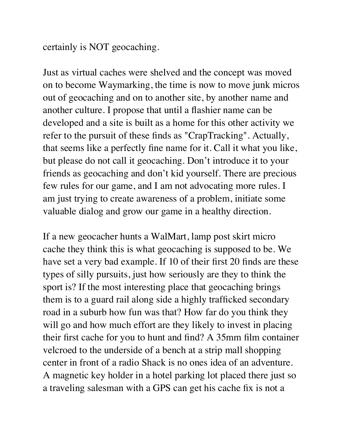certainly is NOT geocaching.

Just as virtual caches were shelved and the concept was moved on to become Waymarking, the time is now to move junk micros out of geocaching and on to another site, by another name and another culture. I propose that until a flashier name can be developed and a site is built as a home for this other activity we refer to the pursuit of these finds as "CrapTracking". Actually, that seems like a perfectly fine name for it. Call it what you like, but please do not call it geocaching. Don't introduce it to your friends as geocaching and don't kid yourself. There are precious few rules for our game, and I am not advocating more rules. I am just trying to create awareness of a problem, initiate some valuable dialog and grow our game in a healthy direction.

If a new geocacher hunts a WalMart, lamp post skirt micro cache they think this is what geocaching is supposed to be. We have set a very bad example. If 10 of their first 20 finds are these types of silly pursuits, just how seriously are they to think the sport is? If the most interesting place that geocaching brings them is to a guard rail along side a highly trafficked secondary road in a suburb how fun was that? How far do you think they will go and how much effort are they likely to invest in placing their first cache for you to hunt and find? A 35mm film container velcroed to the underside of a bench at a strip mall shopping center in front of a radio Shack is no ones idea of an adventure. A magnetic key holder in a hotel parking lot placed there just so a traveling salesman with a GPS can get his cache fix is not a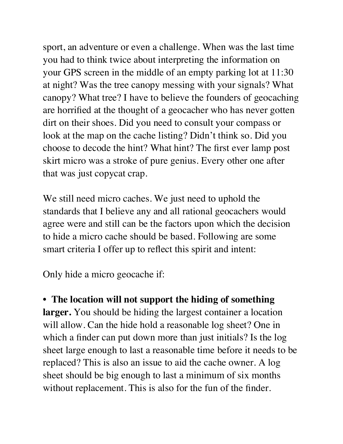sport, an adventure or even a challenge. When was the last time you had to think twice about interpreting the information on your GPS screen in the middle of an empty parking lot at 11:30 at night? Was the tree canopy messing with your signals? What canopy? What tree? I have to believe the founders of geocaching are horrified at the thought of a geocacher who has never gotten dirt on their shoes. Did you need to consult your compass or look at the map on the cache listing? Didn't think so. Did you choose to decode the hint? What hint? The first ever lamp post skirt micro was a stroke of pure genius. Every other one after that was just copycat crap.

We still need micro caches. We just need to uphold the standards that I believe any and all rational geocachers would agree were and still can be the factors upon which the decision to hide a micro cache should be based. Following are some smart criteria I offer up to reflect this spirit and intent:

Only hide a micro geocache if:

• **The location will not support the hiding of something larger.** You should be hiding the largest container a location will allow. Can the hide hold a reasonable log sheet? One in which a finder can put down more than just initials? Is the log sheet large enough to last a reasonable time before it needs to be replaced? This is also an issue to aid the cache owner. A log sheet should be big enough to last a minimum of six months without replacement. This is also for the fun of the finder.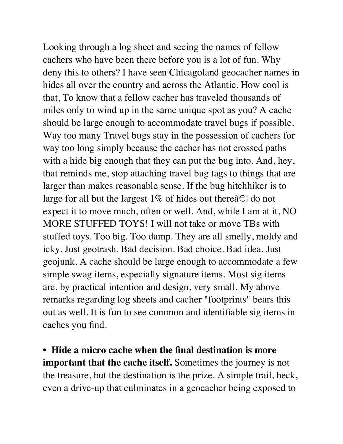Looking through a log sheet and seeing the names of fellow cachers who have been there before you is a lot of fun. Why deny this to others? I have seen Chicagoland geocacher names in hides all over the country and across the Atlantic. How cool is that, To know that a fellow cacher has traveled thousands of miles only to wind up in the same unique spot as you? A cache should be large enough to accommodate travel bugs if possible. Way too many Travel bugs stay in the possession of cachers for way too long simply because the cacher has not crossed paths with a hide big enough that they can put the bug into. And, hey, that reminds me, stop attaching travel bug tags to things that are larger than makes reasonable sense. If the bug hitchhiker is to large for all but the largest 1% of hides out there  $\hat{a} \in \mathcal{A}$  do not expect it to move much, often or well. And, while I am at it, NO MORE STUFFED TOYS! I will not take or move TBs with stuffed toys. Too big. Too damp. They are all smelly, moldy and icky. Just geotrash. Bad decision. Bad choice. Bad idea. Just geojunk. A cache should be large enough to accommodate a few simple swag items, especially signature items. Most sig items are, by practical intention and design, very small. My above remarks regarding log sheets and cacher "footprints" bears this out as well. It is fun to see common and identifiable sig items in caches you find.

• **Hide a micro cache when the final destination is more important that the cache itself.** Sometimes the journey is not the treasure, but the destination is the prize. A simple trail, heck, even a drive-up that culminates in a geocacher being exposed to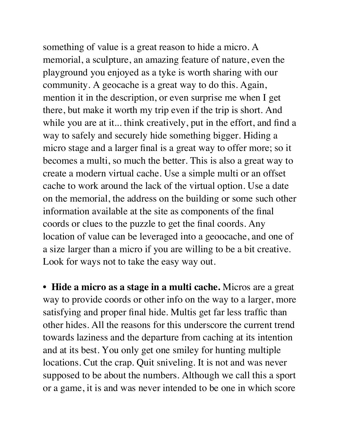something of value is a great reason to hide a micro. A memorial, a sculpture, an amazing feature of nature, even the playground you enjoyed as a tyke is worth sharing with our community. A geocache is a great way to do this. Again, mention it in the description, or even surprise me when I get there, but make it worth my trip even if the trip is short. And while you are at it... think creatively, put in the effort, and find a way to safely and securely hide something bigger. Hiding a micro stage and a larger final is a great way to offer more; so it becomes a multi, so much the better. This is also a great way to create a modern virtual cache. Use a simple multi or an offset cache to work around the lack of the virtual option. Use a date on the memorial, the address on the building or some such other information available at the site as components of the final coords or clues to the puzzle to get the final coords. Any location of value can be leveraged into a geoocache, and one of a size larger than a micro if you are willing to be a bit creative. Look for ways not to take the easy way out.

• **Hide a micro as a stage in a multi cache.** Micros are a great way to provide coords or other info on the way to a larger, more satisfying and proper final hide. Multis get far less traffic than other hides. All the reasons for this underscore the current trend towards laziness and the departure from caching at its intention and at its best. You only get one smiley for hunting multiple locations. Cut the crap. Quit sniveling. It is not and was never supposed to be about the numbers. Although we call this a sport or a game, it is and was never intended to be one in which score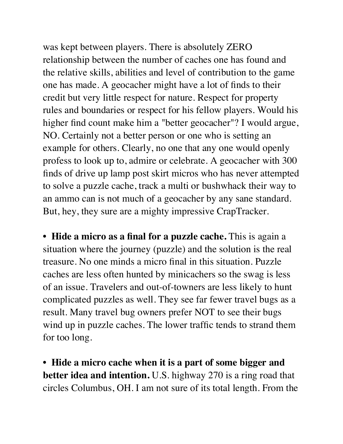was kept between players. There is absolutely ZERO relationship between the number of caches one has found and the relative skills, abilities and level of contribution to the game one has made. A geocacher might have a lot of finds to their credit but very little respect for nature. Respect for property rules and boundaries or respect for his fellow players. Would his higher find count make him a "better geocacher"? I would argue, NO. Certainly not a better person or one who is setting an example for others. Clearly, no one that any one would openly profess to look up to, admire or celebrate. A geocacher with 300 finds of drive up lamp post skirt micros who has never attempted to solve a puzzle cache, track a multi or bushwhack their way to an ammo can is not much of a geocacher by any sane standard. But, hey, they sure are a mighty impressive CrapTracker.

• **Hide a micro as a final for a puzzle cache.** This is again a situation where the journey (puzzle) and the solution is the real treasure. No one minds a micro final in this situation. Puzzle caches are less often hunted by minicachers so the swag is less of an issue. Travelers and out-of-towners are less likely to hunt complicated puzzles as well. They see far fewer travel bugs as a result. Many travel bug owners prefer NOT to see their bugs wind up in puzzle caches. The lower traffic tends to strand them for too long.

• **Hide a micro cache when it is a part of some bigger and better idea and intention.** U.S. highway 270 is a ring road that circles Columbus, OH. I am not sure of its total length. From the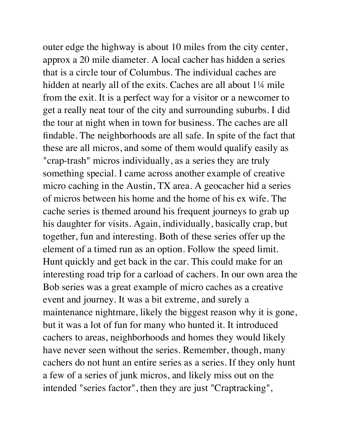outer edge the highway is about 10 miles from the city center, approx a 20 mile diameter. A local cacher has hidden a series that is a circle tour of Columbus. The individual caches are hidden at nearly all of the exits. Caches are all about 1<sup>1</sup>/4 mile from the exit. It is a perfect way for a visitor or a newcomer to get a really neat tour of the city and surrounding suburbs. I did the tour at night when in town for business. The caches are all findable. The neighborhoods are all safe. In spite of the fact that these are all micros, and some of them would qualify easily as "crap-trash" micros individually, as a series they are truly something special. I came across another example of creative micro caching in the Austin, TX area. A geocacher hid a series of micros between his home and the home of his ex wife. The cache series is themed around his frequent journeys to grab up his daughter for visits. Again, individually, basically crap, but together, fun and interesting. Both of these series offer up the element of a timed run as an option. Follow the speed limit. Hunt quickly and get back in the car. This could make for an interesting road trip for a carload of cachers. In our own area the Bob series was a great example of micro caches as a creative event and journey. It was a bit extreme, and surely a maintenance nightmare, likely the biggest reason why it is gone, but it was a lot of fun for many who hunted it. It introduced cachers to areas, neighborhoods and homes they would likely have never seen without the series. Remember, though, many cachers do not hunt an entire series as a series. If they only hunt a few of a series of junk micros, and likely miss out on the intended "series factor", then they are just "Craptracking",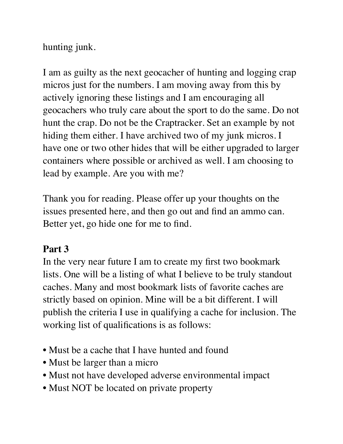hunting junk.

I am as guilty as the next geocacher of hunting and logging crap micros just for the numbers. I am moving away from this by actively ignoring these listings and I am encouraging all geocachers who truly care about the sport to do the same. Do not hunt the crap. Do not be the Craptracker. Set an example by not hiding them either. I have archived two of my junk micros. I have one or two other hides that will be either upgraded to larger containers where possible or archived as well. I am choosing to lead by example. Are you with me?

Thank you for reading. Please offer up your thoughts on the issues presented here, and then go out and find an ammo can. Better yet, go hide one for me to find.

### **Part 3**

In the very near future I am to create my first two bookmark lists. One will be a listing of what I believe to be truly standout caches. Many and most bookmark lists of favorite caches are strictly based on opinion. Mine will be a bit different. I will publish the criteria I use in qualifying a cache for inclusion. The working list of qualifications is as follows:

- Must be a cache that I have hunted and found
- Must be larger than a micro
- Must not have developed adverse environmental impact
- Must NOT be located on private property